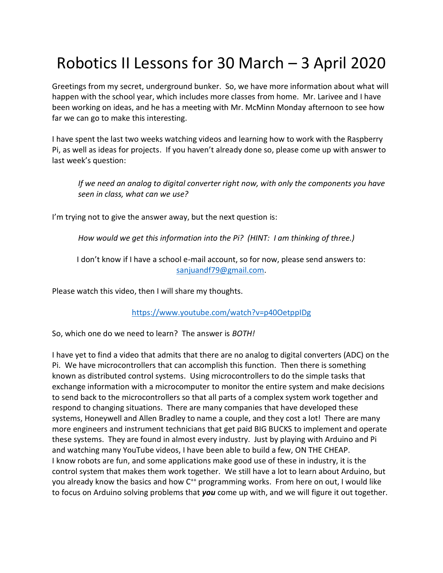## Robotics II Lessons for 30 March – 3 April 2020

Greetings from my secret, underground bunker. So, we have more information about what will happen with the school year, which includes more classes from home. Mr. Larivee and I have been working on ideas, and he has a meeting with Mr. McMinn Monday afternoon to see how far we can go to make this interesting.

I have spent the last two weeks watching videos and learning how to work with the Raspberry Pi, as well as ideas for projects. If you haven't already done so, please come up with answer to last week's question:

*If we need an analog to digital converter right now, with only the components you have seen in class, what can we use?*

I'm trying not to give the answer away, but the next question is:

*How would we get this information into the Pi? (HINT: I am thinking of three.)*

I don't know if I have a school e-mail account, so for now, please send answers to: [sanjuandf79@gmail.com.](mailto:sanjuandf79@gmail.com)

Please watch this video, then I will share my thoughts.

<https://www.youtube.com/watch?v=p40OetppIDg>

So, which one do we need to learn? The answer is *BOTH!*

I have yet to find a video that admits that there are no analog to digital converters (ADC) on the Pi. We have microcontrollers that can accomplish this function. Then there is something known as distributed control systems. Using microcontrollers to do the simple tasks that exchange information with a microcomputer to monitor the entire system and make decisions to send back to the microcontrollers so that all parts of a complex system work together and respond to changing situations. There are many companies that have developed these systems, Honeywell and Allen Bradley to name a couple, and they cost a lot! There are many more engineers and instrument technicians that get paid BIG BUCKS to implement and operate these systems. They are found in almost every industry. Just by playing with Arduino and Pi and watching many YouTube videos, I have been able to build a few, ON THE CHEAP. I know robots are fun, and some applications make good use of these in industry, it is the control system that makes them work together. We still have a lot to learn about Arduino, but you already know the basics and how C<sup>++</sup> programming works. From here on out, I would like to focus on Arduino solving problems that *you* come up with, and we will figure it out together.